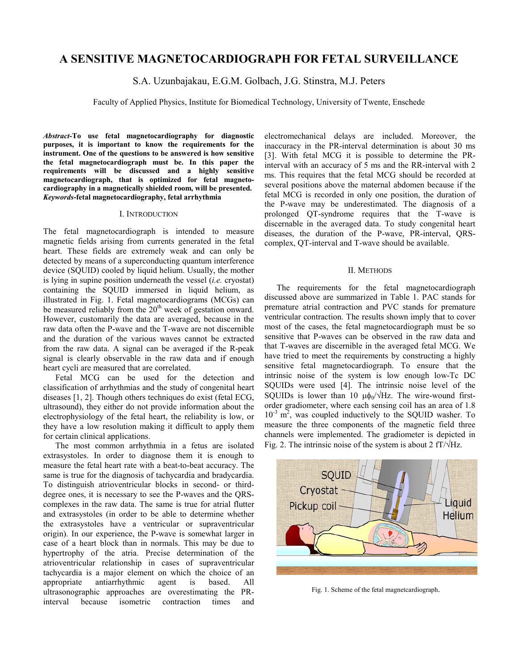# **A SENSITIVE MAGNETOCARDIOGRAPH FOR FETAL SURVEILLANCE**

S.A. Uzunbajakau, E.G.M. Golbach, J.G. Stinstra, M.J. Peters

Faculty of Applied Physics, Institute for Biomedical Technology, University of Twente, Enschede

*Abstract-***To use fetal magnetocardiography for diagnostic purposes, it is important to know the requirements for the instrument. One of the questions to be answered is how sensitive the fetal magnetocardiograph must be. In this paper the requirements will be discussed and a highly sensitive magnetocardiograph, that is optimized for fetal magnetocardiography in a magnetically shielded room, will be presented.** *Keywords***-fetal magnetocardiography, fetal arrhythmia**

#### I. INTRODUCTION

The fetal magnetocardiograph is intended to measure magnetic fields arising from currents generated in the fetal heart. These fields are extremely weak and can only be detected by means of a superconducting quantum interference device (SQUID) cooled by liquid helium. Usually, the mother is lying in supine position underneath the vessel (*i.e.* cryostat) containing the SQUID immersed in liquid helium, as illustrated in Fig. 1. Fetal magnetocardiograms (MCGs) can be measured reliably from the  $20<sup>th</sup>$  week of gestation onward. However, customarily the data are averaged, because in the raw data often the P-wave and the T-wave are not discernible and the duration of the various waves cannot be extracted from the raw data. A signal can be averaged if the R-peak signal is clearly observable in the raw data and if enough heart cycli are measured that are correlated.

Fetal MCG can be used for the detection and classification of arrhythmias and the study of congenital heart diseases [1, 2]. Though others techniques do exist (fetal ECG, ultrasound), they either do not provide information about the electrophysiology of the fetal heart, the reliability is low, or they have a low resolution making it difficult to apply them for certain clinical applications.

The most common arrhythmia in a fetus are isolated extrasystoles. In order to diagnose them it is enough to measure the fetal heart rate with a beat-to-beat accuracy. The same is true for the diagnosis of tachycardia and bradycardia. To distinguish atrioventricular blocks in second- or thirddegree ones, it is necessary to see the P-waves and the QRScomplexes in the raw data. The same is true for atrial flutter and extrasystoles (in order to be able to determine whether the extrasystoles have a ventricular or supraventricular origin). In our experience, the P-wave is somewhat larger in case of a heart block than in normals. This may be due to hypertrophy of the atria. Precise determination of the atrioventricular relationship in cases of supraventricular tachycardia is a major element on which the choice of an appropriate antiarrhythmic agent is based. All ultrasonographic approaches are overestimating the PRinterval because isometric contraction times and

electromechanical delays are included. Moreover, the inaccuracy in the PR-interval determination is about 30 ms [3]. With fetal MCG it is possible to determine the PRinterval with an accuracy of 5 ms and the RR-interval with 2 ms. This requires that the fetal MCG should be recorded at several positions above the maternal abdomen because if the fetal MCG is recorded in only one position, the duration of the P-wave may be underestimated. The diagnosis of a prolonged QT-syndrome requires that the T-wave is discernable in the averaged data. To study congenital heart diseases, the duration of the P-wave, PR-interval, QRScomplex, QT-interval and T-wave should be available.

#### II. METHODS

The requirements for the fetal magnetocardiograph discussed above are summarized in Table 1. PAC stands for premature atrial contraction and PVC stands for premature ventricular contraction. The results shown imply that to cover most of the cases, the fetal magnetocardiograph must be so sensitive that P-waves can be observed in the raw data and that T-waves are discernible in the averaged fetal MCG. We have tried to meet the requirements by constructing a highly sensitive fetal magnetocardiograph. To ensure that the intrinsic noise of the system is low enough low-Tc DC SQUIDs were used [4]. The intrinsic noise level of the SQUIDs is lower than 10  $\mu \phi_0 / \sqrt{Hz}$ . The wire-wound firstorder gradiometer, where each sensing coil has an area of 1.8  $10^{-3}$  m<sup>2</sup>, was coupled inductively to the SQUID washer. To measure the three components of the magnetic field three channels were implemented. The gradiometer is depicted in Fig. 2. The intrinsic noise of the system is about 2  $fT/\sqrt{Hz}$ .



Fig. 1. Scheme of the fetal magnetcardiograph.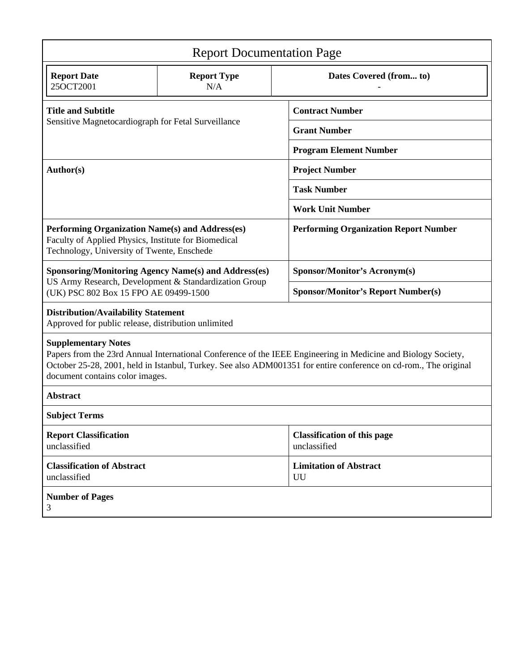| <b>Report Documentation Page</b>                                                                                                                                                                                                                                                                   |                           |                                                    |  |
|----------------------------------------------------------------------------------------------------------------------------------------------------------------------------------------------------------------------------------------------------------------------------------------------------|---------------------------|----------------------------------------------------|--|
| <b>Report Date</b><br>25OCT2001                                                                                                                                                                                                                                                                    | <b>Report Type</b><br>N/A | Dates Covered (from to)                            |  |
| <b>Title and Subtitle</b><br>Sensitive Magnetocardiograph for Fetal Surveillance                                                                                                                                                                                                                   |                           | <b>Contract Number</b>                             |  |
|                                                                                                                                                                                                                                                                                                    |                           | <b>Grant Number</b>                                |  |
|                                                                                                                                                                                                                                                                                                    |                           | <b>Program Element Number</b>                      |  |
| Author(s)                                                                                                                                                                                                                                                                                          |                           | <b>Project Number</b>                              |  |
|                                                                                                                                                                                                                                                                                                    |                           | <b>Task Number</b>                                 |  |
|                                                                                                                                                                                                                                                                                                    |                           | <b>Work Unit Number</b>                            |  |
| Performing Organization Name(s) and Address(es)<br>Faculty of Applied Physics, Institute for Biomedical<br>Technology, University of Twente, Enschede                                                                                                                                              |                           | <b>Performing Organization Report Number</b>       |  |
| <b>Sponsoring/Monitoring Agency Name(s) and Address(es)</b><br>US Army Research, Development & Standardization Group<br>(UK) PSC 802 Box 15 FPO AE 09499-1500                                                                                                                                      |                           | <b>Sponsor/Monitor's Acronym(s)</b>                |  |
|                                                                                                                                                                                                                                                                                                    |                           | <b>Sponsor/Monitor's Report Number(s)</b>          |  |
| <b>Distribution/Availability Statement</b><br>Approved for public release, distribution unlimited                                                                                                                                                                                                  |                           |                                                    |  |
| <b>Supplementary Notes</b><br>Papers from the 23rd Annual International Conference of the IEEE Engineering in Medicine and Biology Society,<br>October 25-28, 2001, held in Istanbul, Turkey. See also ADM001351 for entire conference on cd-rom., The original<br>document contains color images. |                           |                                                    |  |
| <b>Abstract</b>                                                                                                                                                                                                                                                                                    |                           |                                                    |  |
| <b>Subject Terms</b>                                                                                                                                                                                                                                                                               |                           |                                                    |  |
| <b>Report Classification</b><br>unclassified                                                                                                                                                                                                                                                       |                           | <b>Classification of this page</b><br>unclassified |  |
| <b>Classification of Abstract</b><br>unclassified                                                                                                                                                                                                                                                  |                           | <b>Limitation of Abstract</b><br>UU                |  |
| <b>Number of Pages</b><br>3                                                                                                                                                                                                                                                                        |                           |                                                    |  |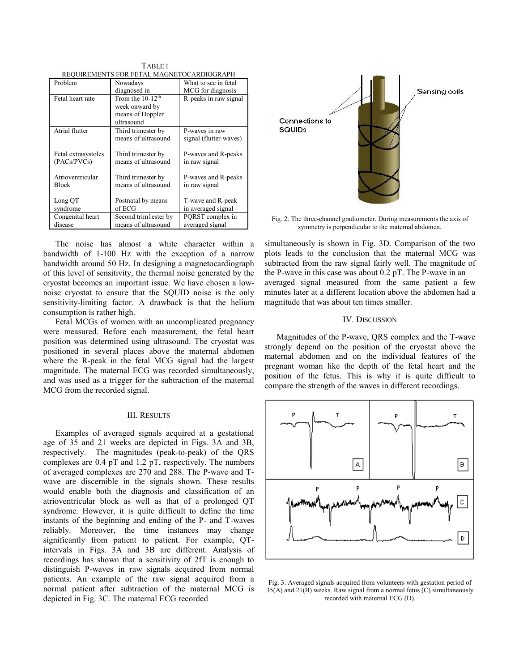| REQUIREMENTS FOR FETAL MAGNETOCARDIOGRAPH |                       |                        |  |
|-------------------------------------------|-----------------------|------------------------|--|
| Problem                                   | Nowadays              | What to see in fetal   |  |
|                                           | diagnosed in          | MCG for diagnosis      |  |
| Fetal heart rate                          | From the $10-12th$    | R-peaks in raw signal  |  |
|                                           | week onward by        |                        |  |
|                                           | means of Doppler      |                        |  |
|                                           | ultrasound            |                        |  |
| Atrial flutter                            | Third trimester by    | P-waves in raw         |  |
|                                           | means of ultrasound   | signal (flutter-waves) |  |
|                                           |                       |                        |  |
| Fetal extrasystoles                       | Third trimester by    | P-waves and R-peaks    |  |
| (PACS / PVCs)                             | means of ultrasound   | in raw signal          |  |
|                                           |                       |                        |  |
| Atrioventricular                          | Third trimester by    | P-waves and R-peaks    |  |
| <b>Block</b>                              | means of ultrasound   | in raw signal          |  |
|                                           |                       |                        |  |
| Long QT                                   | Postnatal by means    | T-wave and R-peak      |  |
| syndrome                                  | of ECG                | in averaged signal     |  |
| Congenital heart                          | Second trim lester by | PQRST complex in       |  |
| disease                                   | means of ultrasound   | averaged signal        |  |

TABLE I REQUIREMENTS FOR FETAL MAGNETOCARDIOGRAPH

The noise has almost a white character within a bandwidth of 1-100 Hz with the exception of a narrow bandwidth around 50 Hz. In designing a magnetocardiograph of this level of sensitivity, the thermal noise generated by the cryostat becomes an important issue. We have chosen a lownoise cryostat to ensure that the SQUID noise is the only sensitivity-limiting factor. A drawback is that the helium consumption is rather high.

Fetal MCGs of women with an uncomplicated pregnancy were measured. Before each measurement, the fetal heart position was determined using ultrasound. The cryostat was positioned in several places above the maternal abdomen where the R-peak in the fetal MCG signal had the largest magnitude. The maternal ECG was recorded simultaneously, and was used as a trigger for the subtraction of the maternal MCG from the recorded signal.

## III. RESULTS

Examples of averaged signals acquired at a gestational age of 35 and 21 weeks are depicted in Figs. 3A and 3B, respectively. The magnitudes (peak-to-peak) of the QRS complexes are 0.4 pT and 1.2 pT, respectively. The numbers of averaged complexes are 270 and 288. The P-wave and Twave are discernible in the signals shown. These results would enable both the diagnosis and classification of an atrioventricular block as well as that of a prolonged QT syndrome. However, it is quite difficult to define the time instants of the beginning and ending of the P- and T-waves reliably. Moreover, the time instances may change significantly from patient to patient. For example, QTintervals in Figs. 3A and 3B are different. Analysis of recordings has shown that a sensitivity of 2fT is enough to distinguish P-waves in raw signals acquired from normal patients. An example of the raw signal acquired from a normal patient after subtraction of the maternal MCG is depicted in Fig. 3C. The maternal ECG recorded



Fig. 2. The three-channel gradiometer. During measurements the axis of symmetry is perpendicular to the maternal abdomen.

simultaneously is shown in Fig. 3D. Comparison of the two plots leads to the conclusion that the maternal MCG was subtracted from the raw signal fairly well. The magnitude of the P-wave in this case was about 0.2 pT. The P-wave in an averaged signal measured from the same patient a few minutes later at a different location above the abdomen had a magnitude that was about ten times smaller.

### IV. DISCUSSION

Magnitudes of the P-wave, QRS complex and the T-wave strongly depend on the position of the cryostat above the maternal abdomen and on the individual features of the pregnant woman like the depth of the fetal heart and the position of the fetus. This is why it is quite difficult to compare the strength of the waves in different recordings.



Fig. 3. Averaged signals acquired from volunteers with gestation period of 35(A) and 21(B) weeks. Raw signal from a normal fetus (C) simultaneously recorded with maternal ECG (D).